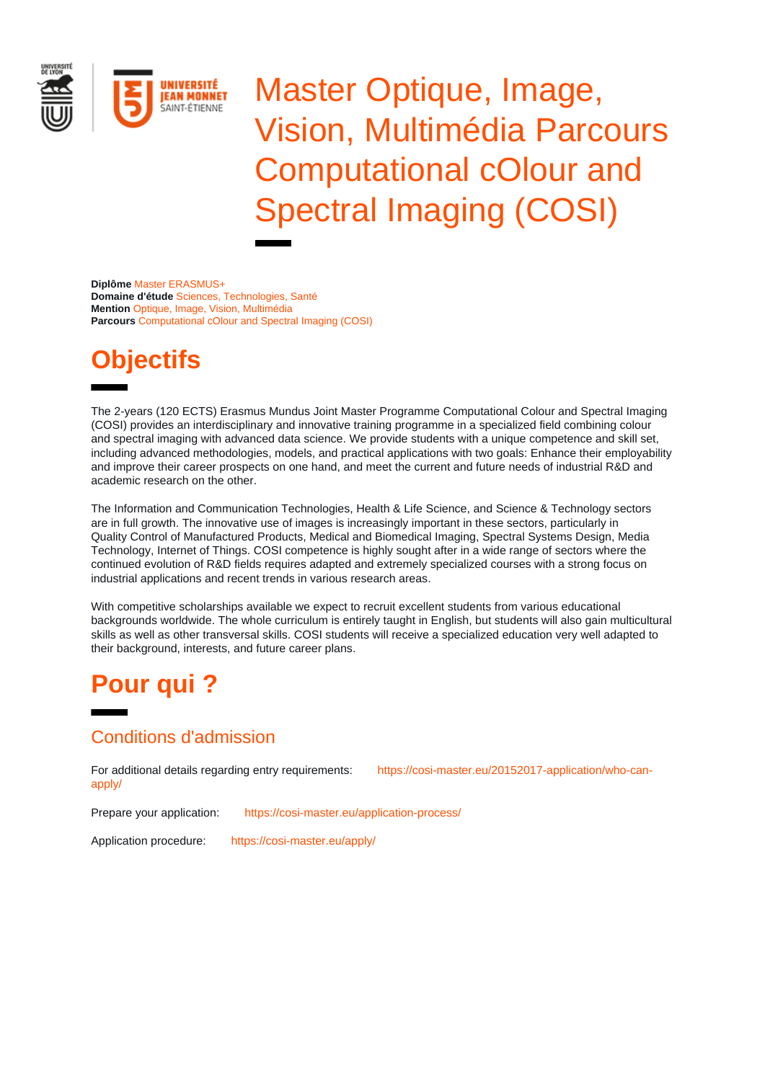

Master Optique, Image, Vision, Multimédia Parcours Computational cOlour and Spectral Imaging (COSI)

**Diplôme** Master ERASMUS+ **Domaine d'étude** Sciences, Technologies, Santé **Mention** Optique, Image, Vision, Multimédia **Parcours** Computational cOlour and Spectral Imaging (COSI)

# **Objectifs**

The 2-years (120 ECTS) Erasmus Mundus Joint Master Programme Computational Colour and Spectral Imaging (COSI) provides an interdisciplinary and innovative training programme in a specialized field combining colour and spectral imaging with advanced data science. We provide students with a unique competence and skill set, including advanced methodologies, models, and practical applications with two goals: Enhance their employability and improve their career prospects on one hand, and meet the current and future needs of industrial R&D and academic research on the other.

The Information and Communication Technologies, Health & Life Science, and Science & Technology sectors are in full growth. The innovative use of images is increasingly important in these sectors, particularly in Quality Control of Manufactured Products, Medical and Biomedical Imaging, Spectral Systems Design, Media Technology, Internet of Things. COSI competence is highly sought after in a wide range of sectors where the continued evolution of R&D fields requires adapted and extremely specialized courses with a strong focus on industrial applications and recent trends in various research areas.

With competitive scholarships available we expect to recruit excellent students from various educational backgrounds worldwide. The whole curriculum is entirely taught in English, but students will also gain multicultural skills as well as other transversal skills. COSI students will receive a specialized education very well adapted to their background, interests, and future career plans.

# **Pour qui ?**

## Conditions d'admission

For additional details regarding entry requirements: [https://cosi-master.eu/20152017-application/who-can](https://cosi-master.eu/20152017-application/who-can-apply/)[apply/](https://cosi-master.eu/20152017-application/who-can-apply/)

Prepare your application: <https://cosi-master.eu/application-process/>

Application procedure: <https://cosi-master.eu/apply/>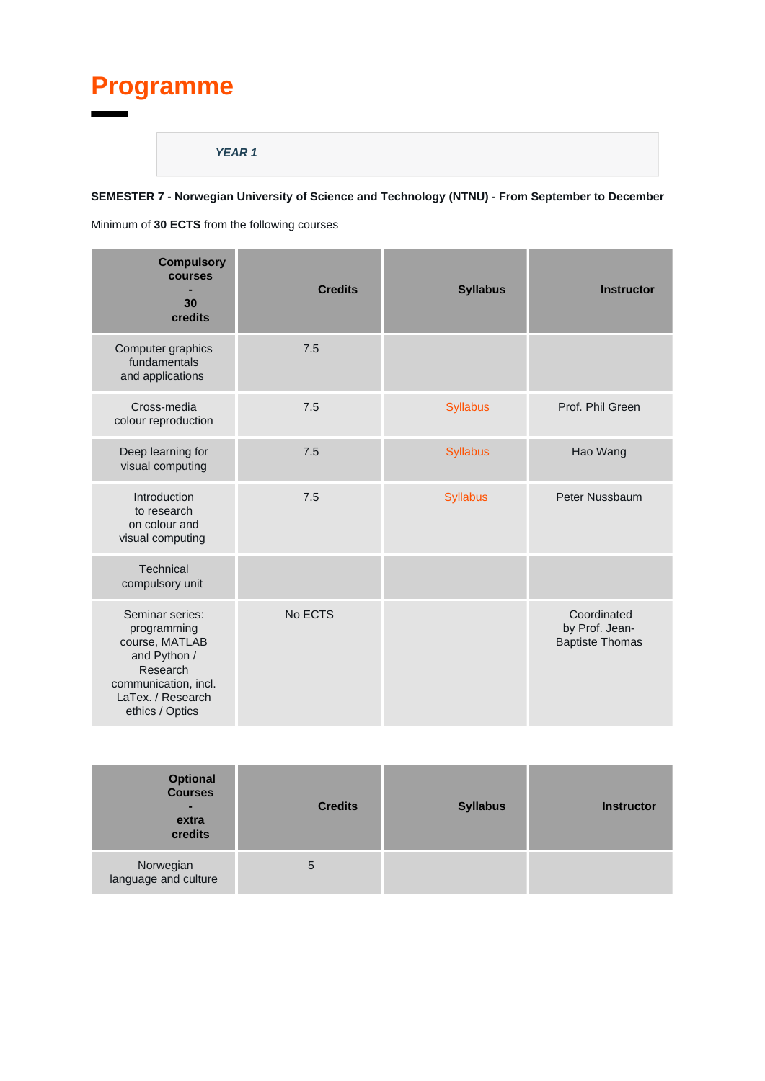# **Programme**

#### **YEAR 1**

### **SEMESTER 7 - Norwegian University of Science and Technology (NTNU) - From September to December**

Minimum of **30 ECTS** from the following courses

| <b>Compulsory</b><br><b>courses</b><br>30<br>credits                                                                                         | <b>Credits</b> | <b>Syllabus</b> | <b>Instructor</b>                                       |
|----------------------------------------------------------------------------------------------------------------------------------------------|----------------|-----------------|---------------------------------------------------------|
| Computer graphics<br>fundamentals<br>and applications                                                                                        | 7.5            |                 |                                                         |
| Cross-media<br>colour reproduction                                                                                                           | 7.5            | <b>Syllabus</b> | Prof. Phil Green                                        |
| Deep learning for<br>visual computing                                                                                                        | 7.5            | <b>Syllabus</b> | Hao Wang                                                |
| Introduction<br>to research<br>on colour and<br>visual computing                                                                             | 7.5            | <b>Syllabus</b> | Peter Nussbaum                                          |
| Technical<br>compulsory unit                                                                                                                 |                |                 |                                                         |
| Seminar series:<br>programming<br>course, MATLAB<br>and Python /<br>Research<br>communication, incl.<br>LaTex. / Research<br>ethics / Optics | No ECTS        |                 | Coordinated<br>by Prof. Jean-<br><b>Baptiste Thomas</b> |

| <b>Optional</b><br><b>Courses</b><br>$\overline{\phantom{a}}$<br>extra<br>credits | <b>Credits</b> | <b>Syllabus</b> | <b>Instructor</b> |
|-----------------------------------------------------------------------------------|----------------|-----------------|-------------------|
| Norwegian<br>language and culture                                                 | 5              |                 |                   |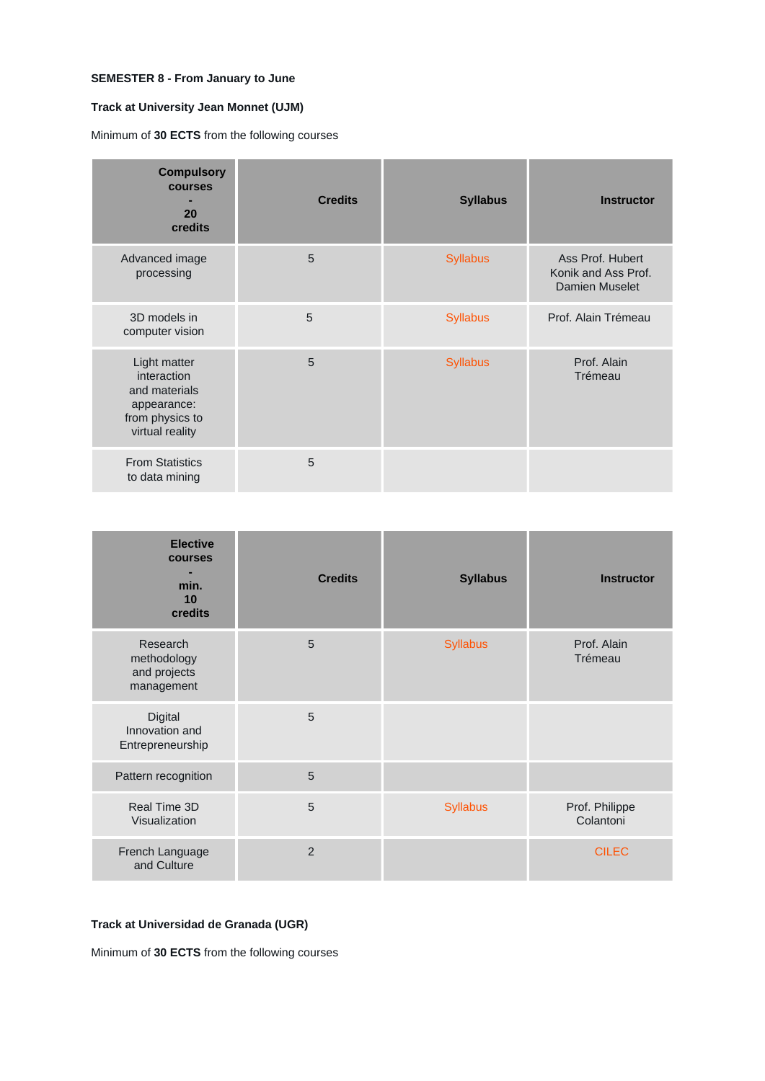#### **SEMESTER 8 - From January to June**

#### **Track at University Jean Monnet (UJM)**

Minimum of **30 ECTS** from the following courses

| <b>Compulsory</b><br>courses<br>20<br>credits                                                     | <b>Credits</b> | <b>Syllabus</b> | <b>Instructor</b>                                                |
|---------------------------------------------------------------------------------------------------|----------------|-----------------|------------------------------------------------------------------|
| Advanced image<br>processing                                                                      | 5              | <b>Syllabus</b> | Ass Prof. Hubert<br>Konik and Ass Prof.<br><b>Damien Muselet</b> |
| 3D models in<br>computer vision                                                                   | 5              | <b>Syllabus</b> | Prof. Alain Trémeau                                              |
| Light matter<br>interaction<br>and materials<br>appearance:<br>from physics to<br>virtual reality | 5              | <b>Syllabus</b> | Prof. Alain<br>Trémeau                                           |
| <b>From Statistics</b><br>to data mining                                                          | 5              |                 |                                                                  |

| <b>Elective</b><br>courses<br>min.<br>10<br>credits   | <b>Credits</b> | <b>Syllabus</b> | <b>Instructor</b>           |
|-------------------------------------------------------|----------------|-----------------|-----------------------------|
| Research<br>methodology<br>and projects<br>management | 5              | <b>Syllabus</b> | Prof. Alain<br>Trémeau      |
| Digital<br>Innovation and<br>Entrepreneurship         | 5              |                 |                             |
| Pattern recognition                                   | 5              |                 |                             |
| Real Time 3D<br>Visualization                         | 5              | <b>Syllabus</b> | Prof. Philippe<br>Colantoni |
| French Language<br>and Culture                        | $\overline{2}$ |                 | <b>CILEC</b>                |

#### **Track at Universidad de Granada (UGR)**

Minimum of **30 ECTS** from the following courses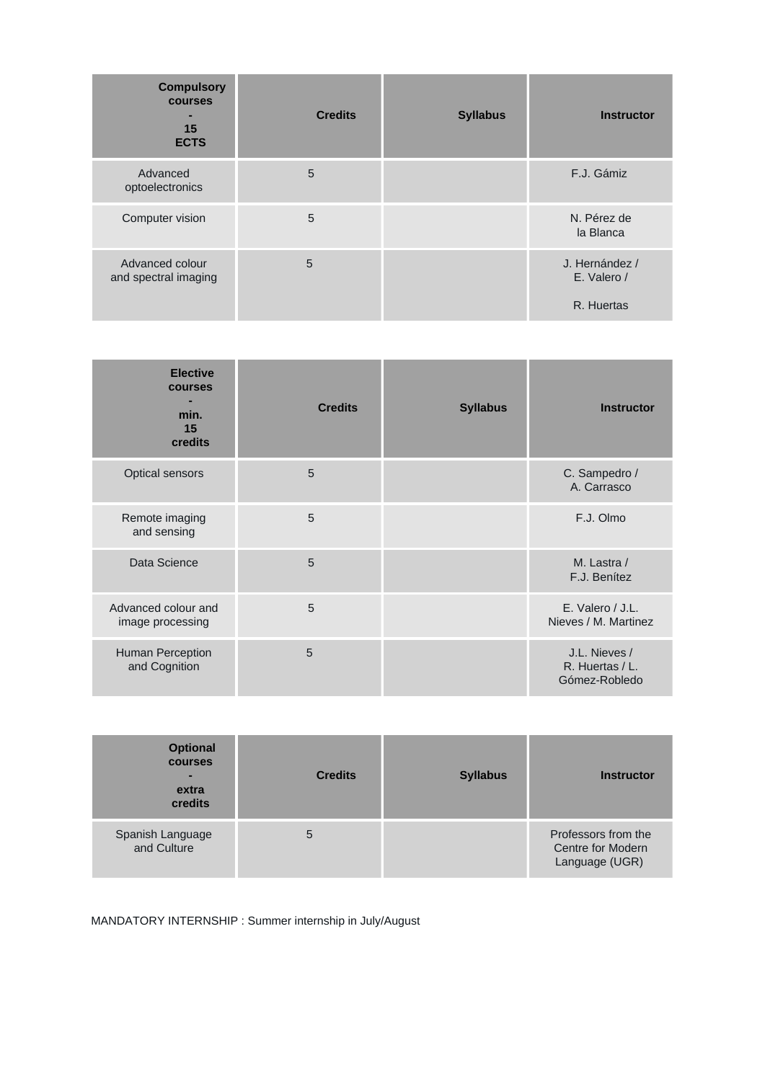| <b>Compulsory</b><br><b>courses</b><br>15<br><b>ECTS</b> | <b>Credits</b> | <b>Syllabus</b> | <b>Instructor</b>             |
|----------------------------------------------------------|----------------|-----------------|-------------------------------|
| Advanced<br>optoelectronics                              | 5              |                 | F.J. Gámiz                    |
| Computer vision                                          | 5              |                 | N. Pérez de<br>la Blanca      |
| Advanced colour<br>and spectral imaging                  | 5              |                 | J. Hernández /<br>E. Valero / |
|                                                          |                |                 | R. Huertas                    |

| <b>Elective</b><br>courses<br>min.<br>15<br>credits | <b>Credits</b> | <b>Syllabus</b> | <b>Instructor</b>                                 |
|-----------------------------------------------------|----------------|-----------------|---------------------------------------------------|
| Optical sensors                                     | 5              |                 | C. Sampedro /<br>A. Carrasco                      |
| Remote imaging<br>and sensing                       | 5              |                 | F.J. Olmo                                         |
| Data Science                                        | 5              |                 | M. Lastra /<br>F.J. Benítez                       |
| Advanced colour and<br>image processing             | 5              |                 | E. Valero / J.L.<br>Nieves / M. Martinez          |
| Human Perception<br>and Cognition                   | 5              |                 | J.L. Nieves /<br>R. Huertas / L.<br>Gómez-Robledo |

| <b>Optional</b><br><b>courses</b><br>-<br>extra<br>credits | <b>Credits</b> | <b>Syllabus</b> | <b>Instructor</b>                                          |
|------------------------------------------------------------|----------------|-----------------|------------------------------------------------------------|
| Spanish Language<br>and Culture                            | 5              |                 | Professors from the<br>Centre for Modern<br>Language (UGR) |

MANDATORY INTERNSHIP : Summer internship in July/August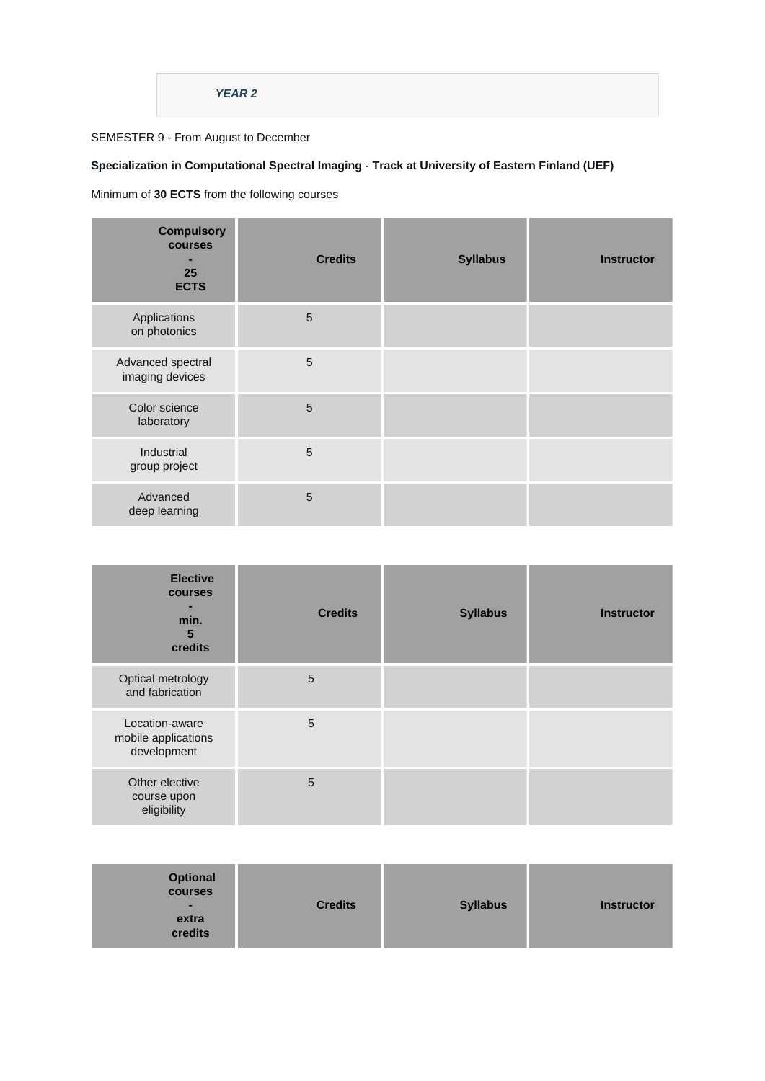### **YEAR 2**

### SEMESTER 9 - From August to December

### **Specialization in Computational Spectral Imaging - Track at University of Eastern Finland (UEF)**

Minimum of **30 ECTS** from the following courses

| <b>Compulsory</b><br>courses<br>-<br>25<br><b>ECTS</b> | <b>Credits</b> | <b>Syllabus</b> | <b>Instructor</b> |
|--------------------------------------------------------|----------------|-----------------|-------------------|
| Applications<br>on photonics                           | 5              |                 |                   |
| Advanced spectral<br>imaging devices                   | 5              |                 |                   |
| Color science<br>laboratory                            | 5              |                 |                   |
| Industrial<br>group project                            | 5              |                 |                   |
| Advanced<br>deep learning                              | 5              |                 |                   |

| <b>Elective</b><br>courses<br>min.<br>5<br>credits   | <b>Credits</b> | <b>Syllabus</b> | <b>Instructor</b> |
|------------------------------------------------------|----------------|-----------------|-------------------|
| Optical metrology<br>and fabrication                 | 5              |                 |                   |
| Location-aware<br>mobile applications<br>development | 5              |                 |                   |
| Other elective<br>course upon<br>eligibility         | 5              |                 |                   |

| <b>Optional</b><br><b>courses</b><br>ж.<br>extra<br>credits | <b>Credits</b> | <b>Syllabus</b> | <b>Instructor</b> |
|-------------------------------------------------------------|----------------|-----------------|-------------------|
|-------------------------------------------------------------|----------------|-----------------|-------------------|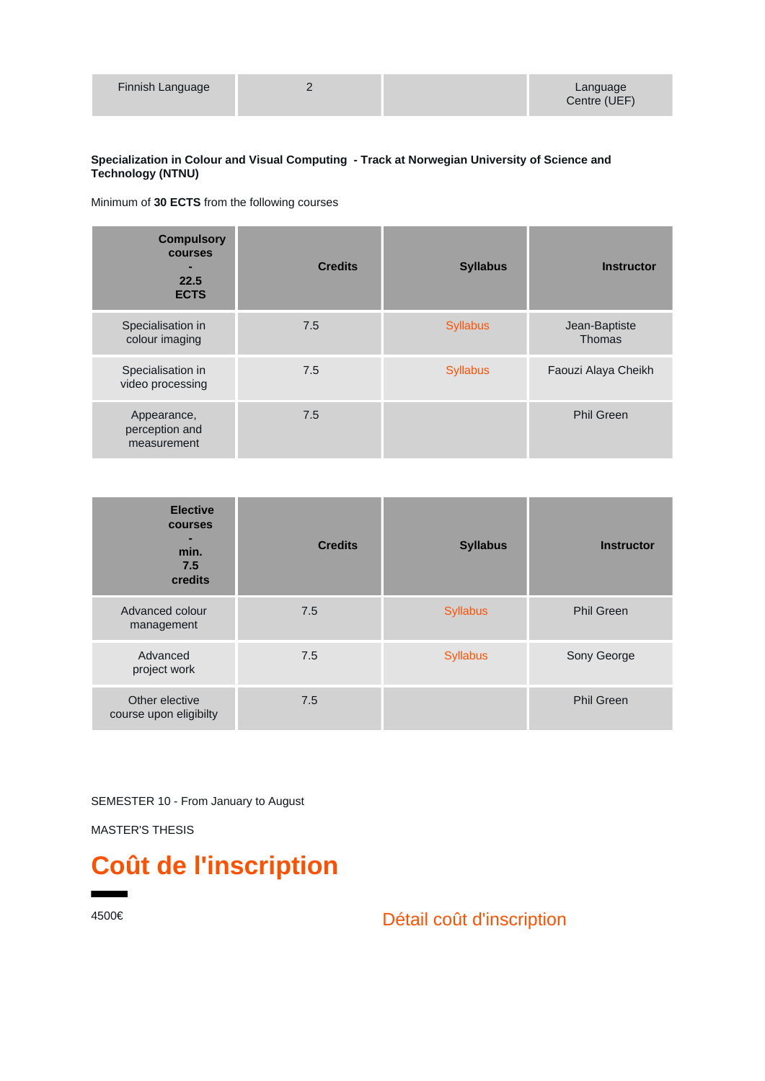| Finnish Language |  | Language     |
|------------------|--|--------------|
|                  |  | Centre (UEF) |

#### **Specialization in Colour and Visual Computing - Track at Norwegian University of Science and Technology (NTNU)**

Minimum of **30 ECTS** from the following courses

| <b>Compulsory</b><br>courses<br>22.5<br><b>ECTS</b> | <b>Credits</b> | <b>Syllabus</b> | <b>Instructor</b>              |
|-----------------------------------------------------|----------------|-----------------|--------------------------------|
| Specialisation in<br>colour imaging                 | 7.5            | <b>Syllabus</b> | Jean-Baptiste<br><b>Thomas</b> |
| Specialisation in<br>video processing               | 7.5            | <b>Syllabus</b> | Faouzi Alaya Cheikh            |
| Appearance,<br>perception and<br>measurement        | 7.5            |                 | <b>Phil Green</b>              |

| <b>Elective</b><br>courses<br>min.<br>7.5<br>credits | <b>Credits</b> | <b>Syllabus</b> | <b>Instructor</b> |
|------------------------------------------------------|----------------|-----------------|-------------------|
| Advanced colour<br>management                        | 7.5            | <b>Syllabus</b> | <b>Phil Green</b> |
| Advanced<br>project work                             | 7.5            | <b>Syllabus</b> | Sony George       |
| Other elective<br>course upon eligibilty             | 7.5            |                 | <b>Phil Green</b> |

SEMESTER 10 - From January to August

MASTER'S THESIS

# **Coût de l'inscription**

4500€ Détail coût d'inscription